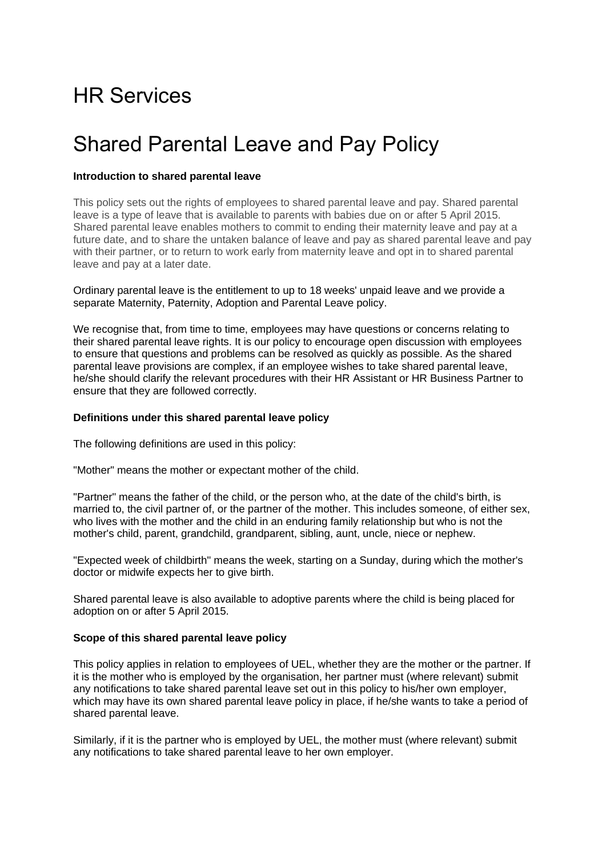# HR Services

## Shared Parental Leave and Pay Policy

## **Introduction to shared parental leave**

This policy sets out the rights of employees to shared parental leave and pay. Shared parental leave is a type of leave that is available to parents with babies due on or after 5 April 2015. Shared parental leave enables mothers to commit to ending their maternity leave and pay at a future date, and to share the untaken balance of leave and pay as shared parental leave and pay with their partner, or to return to work early from maternity leave and opt in to shared parental leave and pay at a later date.

Ordinary parental leave is the entitlement to up to 18 weeks' unpaid leave and we provide a separate Maternity, Paternity, Adoption and Parental Leave policy.

We recognise that, from time to time, employees may have questions or concerns relating to their shared parental leave rights. It is our policy to encourage open discussion with employees to ensure that questions and problems can be resolved as quickly as possible. As the shared parental leave provisions are complex, if an employee wishes to take shared parental leave, he/she should clarify the relevant procedures with their HR Assistant or HR Business Partner to ensure that they are followed correctly.

## **Definitions under this shared parental leave policy**

The following definitions are used in this policy:

"Mother" means the mother or expectant mother of the child.

"Partner" means the father of the child, or the person who, at the date of the child's birth, is married to, the civil partner of, or the partner of the mother. This includes someone, of either sex, who lives with the mother and the child in an enduring family relationship but who is not the mother's child, parent, grandchild, grandparent, sibling, aunt, uncle, niece or nephew.

"Expected week of childbirth" means the week, starting on a Sunday, during which the mother's doctor or midwife expects her to give birth.

Shared parental leave is also available to adoptive parents where the child is being placed for adoption on or after 5 April 2015.

## **Scope of this shared parental leave policy**

This policy applies in relation to employees of UEL, whether they are the mother or the partner. If it is the mother who is employed by the organisation, her partner must (where relevant) submit any notifications to take shared parental leave set out in this policy to his/her own employer, which may have its own shared parental leave policy in place, if he/she wants to take a period of shared parental leave.

Similarly, if it is the partner who is employed by UEL, the mother must (where relevant) submit any notifications to take shared parental leave to her own employer.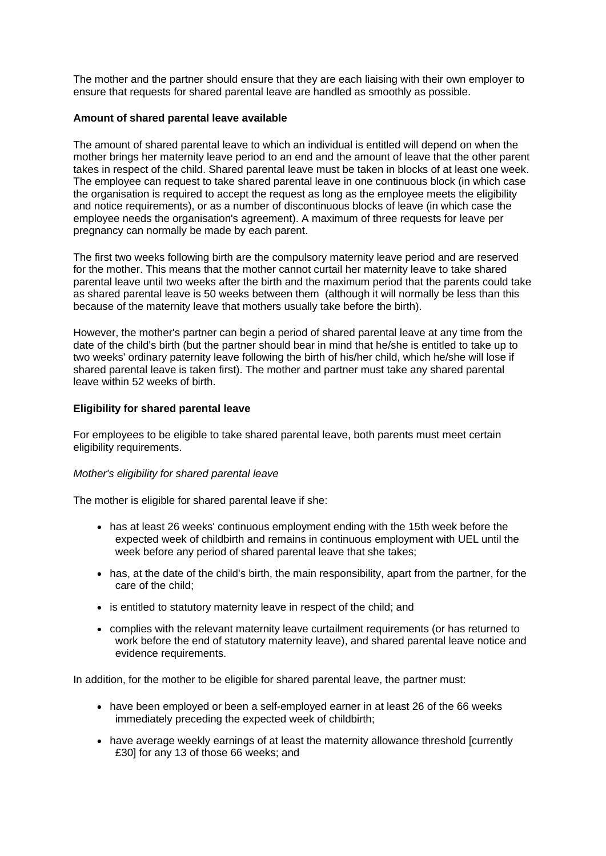The mother and the partner should ensure that they are each liaising with their own employer to ensure that requests for shared parental leave are handled as smoothly as possible.

## **Amount of shared parental leave available**

The amount of shared parental leave to which an individual is entitled will depend on when the mother brings her maternity leave period to an end and the amount of leave that the other parent takes in respect of the child. Shared parental leave must be taken in blocks of at least one week. The employee can request to take shared parental leave in one continuous block (in which case the organisation is required to accept the request as long as the employee meets the eligibility and notice requirements), or as a number of discontinuous blocks of leave (in which case the employee needs the organisation's agreement). A maximum of three requests for leave per pregnancy can normally be made by each parent.

The first two weeks following birth are the compulsory maternity leave period and are reserved for the mother. This means that the mother cannot curtail her maternity leave to take shared parental leave until two weeks after the birth and the maximum period that the parents could take as shared parental leave is 50 weeks between them (although it will normally be less than this because of the maternity leave that mothers usually take before the birth).

However, the mother's partner can begin a period of shared parental leave at any time from the date of the child's birth (but the partner should bear in mind that he/she is entitled to take up to two weeks' ordinary paternity leave following the birth of his/her child, which he/she will lose if shared parental leave is taken first). The mother and partner must take any shared parental leave within 52 weeks of birth.

## **Eligibility for shared parental leave**

For employees to be eligible to take shared parental leave, both parents must meet certain eligibility requirements.

## *Mother's eligibility for shared parental leave*

The mother is eligible for shared parental leave if she:

- has at least 26 weeks' continuous employment ending with the 15th week before the expected week of childbirth and remains in continuous employment with UEL until the week before any period of shared parental leave that she takes;
- has, at the date of the child's birth, the main responsibility, apart from the partner, for the care of the child;
- is entitled to statutory maternity leave in respect of the child; and
- complies with the relevant maternity leave curtailment requirements (or has returned to work before the end of statutory maternity leave), and shared parental leave notice and evidence requirements.

In addition, for the mother to be eligible for shared parental leave, the partner must:

- have been employed or been a self-employed earner in at least 26 of the 66 weeks immediately preceding the expected week of childbirth;
- have average weekly earnings of at least the maternity allowance threshold [currently £30] for any 13 of those 66 weeks; and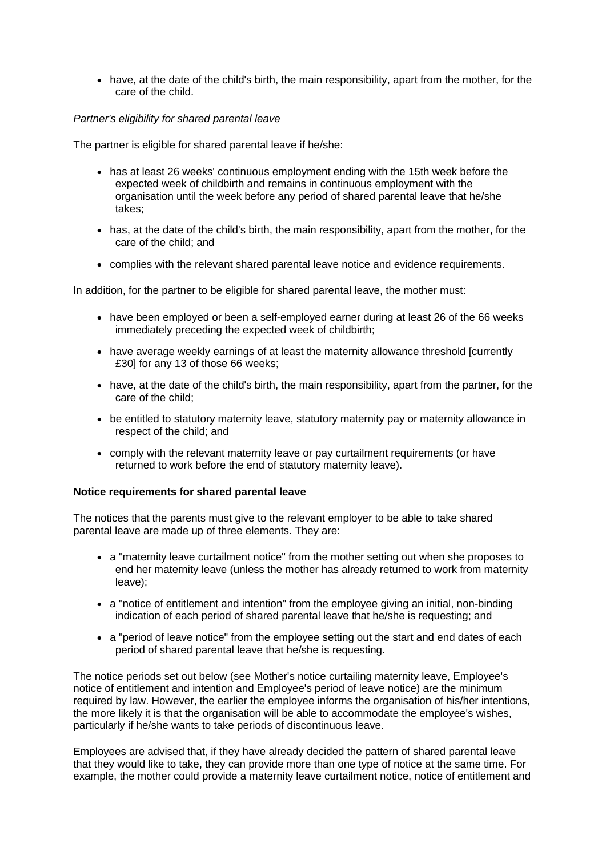• have, at the date of the child's birth, the main responsibility, apart from the mother, for the care of the child.

## *Partner's eligibility for shared parental leave*

The partner is eligible for shared parental leave if he/she:

- has at least 26 weeks' continuous employment ending with the 15th week before the expected week of childbirth and remains in continuous employment with the organisation until the week before any period of shared parental leave that he/she takes;
- has, at the date of the child's birth, the main responsibility, apart from the mother, for the care of the child; and
- complies with the relevant shared parental leave notice and evidence requirements.

In addition, for the partner to be eligible for shared parental leave, the mother must:

- have been employed or been a self-employed earner during at least 26 of the 66 weeks immediately preceding the expected week of childbirth;
- have average weekly earnings of at least the maternity allowance threshold [currently £30] for any 13 of those 66 weeks;
- have, at the date of the child's birth, the main responsibility, apart from the partner, for the care of the child;
- be entitled to statutory maternity leave, statutory maternity pay or maternity allowance in respect of the child; and
- comply with the relevant maternity leave or pay curtailment requirements (or have returned to work before the end of statutory maternity leave).

## **Notice requirements for shared parental leave**

The notices that the parents must give to the relevant employer to be able to take shared parental leave are made up of three elements. They are:

- a "maternity leave curtailment notice" from the mother setting out when she proposes to end her maternity leave (unless the mother has already returned to work from maternity leave);
- a "notice of entitlement and intention" from the employee giving an initial, non-binding indication of each period of shared parental leave that he/she is requesting; and
- a "period of leave notice" from the employee setting out the start and end dates of each period of shared parental leave that he/she is requesting.

The notice periods set out below (see [Mother's notice curtailing maternity leave,](http://www.xperthr.co.uk/policies-and-documents/shared-parental-leave-policy-children-expected-to-be-born-on-or-after-5-april-2015-/153702/#maternityleavecurtailmentnotice) [Employee's](http://www.xperthr.co.uk/policies-and-documents/shared-parental-leave-policy-children-expected-to-be-born-on-or-after-5-april-2015-/153702/#noticeofentitlementandintention)  [notice of entitlement and intention](http://www.xperthr.co.uk/policies-and-documents/shared-parental-leave-policy-children-expected-to-be-born-on-or-after-5-april-2015-/153702/#noticeofentitlementandintention) and [Employee's period of leave notice\)](http://www.xperthr.co.uk/policies-and-documents/shared-parental-leave-policy-children-expected-to-be-born-on-or-after-5-april-2015-/153702/#employeesperiodofleavenotice) are the minimum required by law. However, the earlier the employee informs the organisation of his/her intentions, the more likely it is that the organisation will be able to accommodate the employee's wishes, particularly if he/she wants to take periods of discontinuous leave.

Employees are advised that, if they have already decided the pattern of shared parental leave that they would like to take, they can provide more than one type of notice at the same time. For example, the mother could provide a maternity leave curtailment notice, notice of entitlement and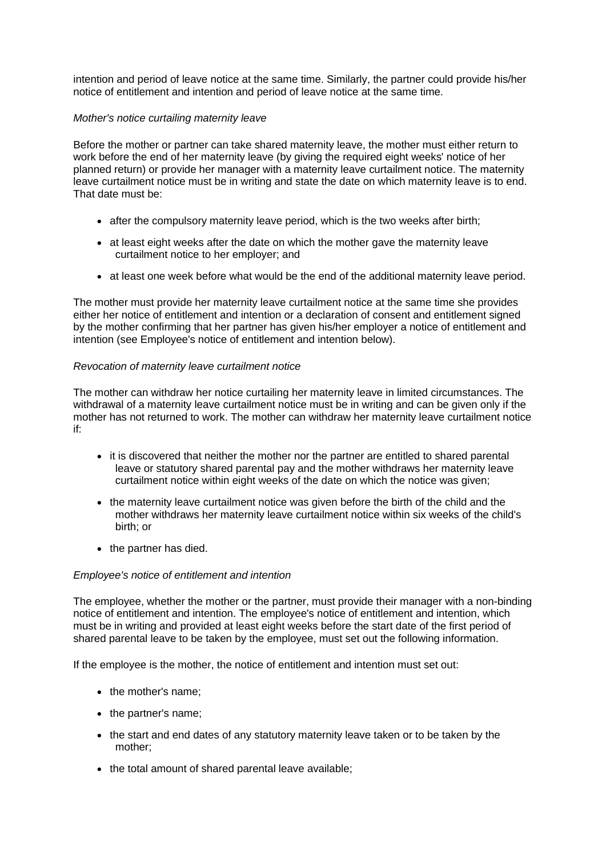intention and period of leave notice at the same time. Similarly, the partner could provide his/her notice of entitlement and intention and period of leave notice at the same time.

## *Mother's notice curtailing maternity leave*

Before the mother or partner can take shared maternity leave, the mother must either return to work before the end of her maternity leave (by giving the required eight weeks' notice of her planned return) or provide her manager with a maternity leave curtailment notice. The maternity leave curtailment notice must be in writing and state the date on which maternity leave is to end. That date must be:

- after the compulsory maternity leave period, which is the two weeks after birth;
- at least eight weeks after the date on which the mother gave the maternity leave curtailment notice to her employer; and
- at least one week before what would be the end of the additional maternity leave period.

The mother must provide her maternity leave curtailment notice at the same time she provides either her notice of entitlement and intention or a declaration of consent and entitlement signed by the mother confirming that her partner has given his/her employer a notice of entitlement and intention (see [Employee's notice of entitlement and intention](http://www.xperthr.co.uk/policies-and-documents/shared-parental-leave-policy-children-expected-to-be-born-on-or-after-5-april-2015-/153702/#noticeofentitlementandintention) below).

## *Revocation of maternity leave curtailment notice*

The mother can withdraw her notice curtailing her maternity leave in limited circumstances. The withdrawal of a maternity leave curtailment notice must be in writing and can be given only if the mother has not returned to work. The mother can withdraw her maternity leave curtailment notice if:

- it is discovered that neither the mother nor the partner are entitled to shared parental leave or statutory shared parental pay and the mother withdraws her maternity leave curtailment notice within eight weeks of the date on which the notice was given;
- the maternity leave curtailment notice was given before the birth of the child and the mother withdraws her maternity leave curtailment notice within six weeks of the child's birth; or
- the partner has died.

## *Employee's notice of entitlement and intention*

The employee, whether the mother or the partner, must provide their manager with a non-binding notice of entitlement and intention. The employee's notice of entitlement and intention, which must be in writing and provided at least eight weeks before the start date of the first period of shared parental leave to be taken by the employee, must set out the following information.

If the employee is the mother, the notice of entitlement and intention must set out:

- the mother's name;
- the partner's name;
- the start and end dates of any statutory maternity leave taken or to be taken by the mother;
- the total amount of shared parental leave available;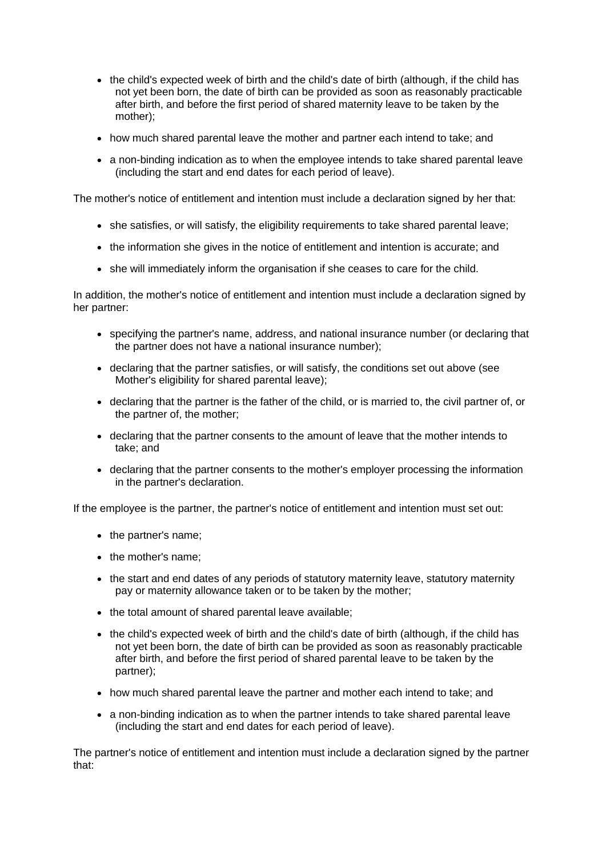- the child's expected week of birth and the child's date of birth (although, if the child has not yet been born, the date of birth can be provided as soon as reasonably practicable after birth, and before the first period of shared maternity leave to be taken by the mother);
- how much shared parental leave the mother and partner each intend to take; and
- a non-binding indication as to when the employee intends to take shared parental leave (including the start and end dates for each period of leave).

The mother's notice of entitlement and intention must include a declaration signed by her that:

- she satisfies, or will satisfy, the eligibility requirements to take shared parental leave;
- the information she gives in the notice of entitlement and intention is accurate; and
- she will immediately inform the organisation if she ceases to care for the child.

In addition, the mother's notice of entitlement and intention must include a declaration signed by her partner:

- specifying the partner's name, address, and national insurance number (or declaring that the partner does not have a national insurance number);
- declaring that the partner satisfies, or will satisfy, the conditions set out above (see [Mother's eligibility for shared parental leave\)](http://www.xperthr.co.uk/policies-and-documents/shared-parental-leave-policy-children-expected-to-be-born-on-or-after-5-april-2015-/153702/#partnerconditions);
- declaring that the partner is the father of the child, or is married to, the civil partner of, or the partner of, the mother;
- declaring that the partner consents to the amount of leave that the mother intends to take; and
- declaring that the partner consents to the mother's employer processing the information in the partner's declaration.

If the employee is the partner, the partner's notice of entitlement and intention must set out:

- the partner's name;
- the mother's name;
- the start and end dates of any periods of statutory maternity leave, statutory maternity pay or maternity allowance taken or to be taken by the mother;
- the total amount of shared parental leave available;
- the child's expected week of birth and the child's date of birth (although, if the child has not yet been born, the date of birth can be provided as soon as reasonably practicable after birth, and before the first period of shared parental leave to be taken by the partner);
- how much shared parental leave the partner and mother each intend to take; and
- a non-binding indication as to when the partner intends to take shared parental leave (including the start and end dates for each period of leave).

The partner's notice of entitlement and intention must include a declaration signed by the partner that: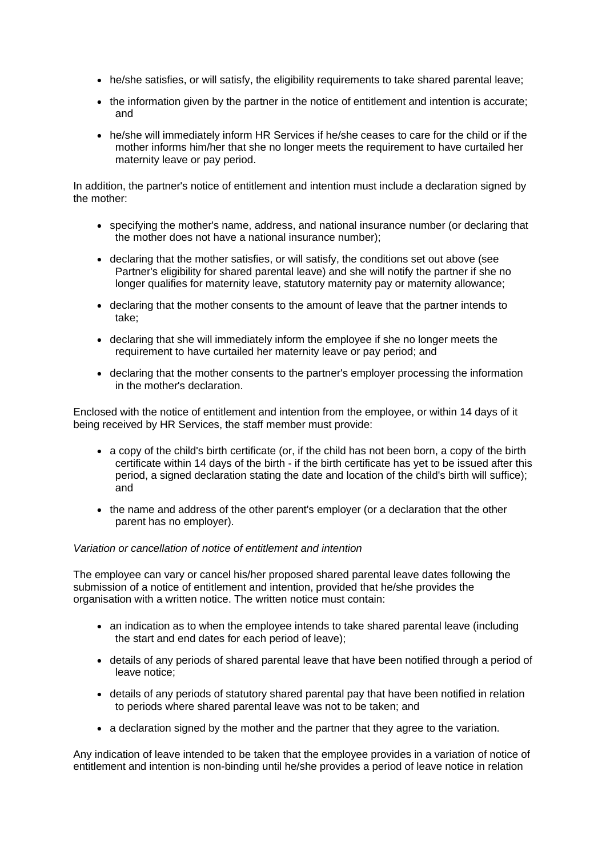- he/she satisfies, or will satisfy, the eligibility requirements to take shared parental leave;
- the information given by the partner in the notice of entitlement and intention is accurate; and
- he/she will immediately inform HR Services if he/she ceases to care for the child or if the mother informs him/her that she no longer meets the requirement to have curtailed her maternity leave or pay period.

In addition, the partner's notice of entitlement and intention must include a declaration signed by the mother:

- specifying the mother's name, address, and national insurance number (or declaring that the mother does not have a national insurance number);
- declaring that the mother satisfies, or will satisfy, the conditions set out above (see [Partner's eligibility for shared parental leave\)](http://www.xperthr.co.uk/policies-and-documents/shared-parental-leave-policy-children-expected-to-be-born-on-or-after-5-april-2015-/153702/#motherconditions) and she will notify the partner if she no longer qualifies for maternity leave, statutory maternity pay or maternity allowance;
- declaring that the mother consents to the amount of leave that the partner intends to take;
- declaring that she will immediately inform the employee if she no longer meets the requirement to have curtailed her maternity leave or pay period; and
- declaring that the mother consents to the partner's employer processing the information in the mother's declaration.

Enclosed with the notice of entitlement and intention from the employee, or within 14 days of it being received by HR Services, the staff member must provide:

- a copy of the child's birth certificate (or, if the child has not been born, a copy of the birth certificate within 14 days of the birth - if the birth certificate has yet to be issued after this period, a signed declaration stating the date and location of the child's birth will suffice); and
- the name and address of the other parent's employer (or a declaration that the other parent has no employer).

## *Variation or cancellation of notice of entitlement and intention*

The employee can vary or cancel his/her proposed shared parental leave dates following the submission of a notice of entitlement and intention, provided that he/she provides the organisation with a written notice. The written notice must contain:

- an indication as to when the employee intends to take shared parental leave (including the start and end dates for each period of leave);
- details of any periods of shared parental leave that have been notified through a period of leave notice;
- details of any periods of statutory shared parental pay that have been notified in relation to periods where shared parental leave was not to be taken; and
- a declaration signed by the mother and the partner that they agree to the variation.

Any indication of leave intended to be taken that the employee provides in a variation of notice of entitlement and intention is non-binding until he/she provides a period of leave notice in relation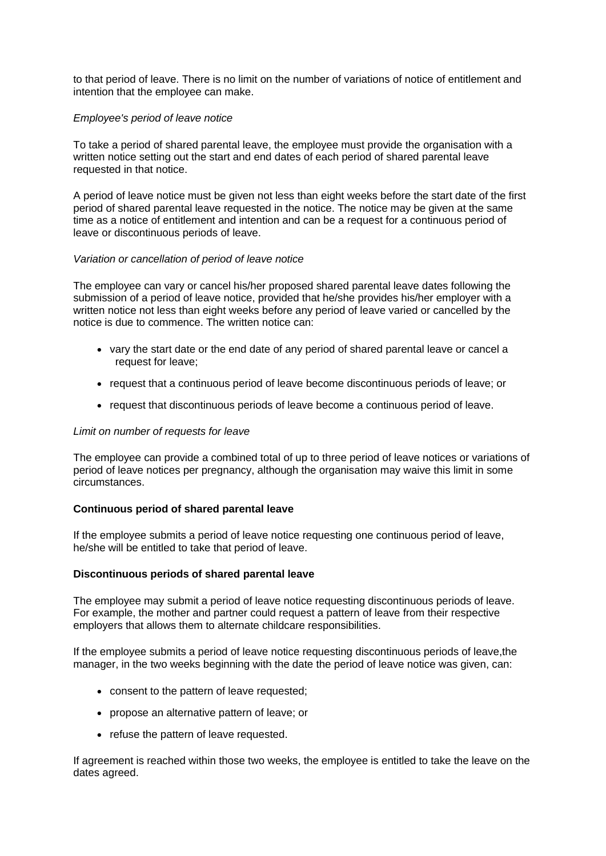to that period of leave. There is no limit on the number of variations of notice of entitlement and intention that the employee can make.

### *Employee's period of leave notice*

To take a period of shared parental leave, the employee must provide the organisation with a written notice setting out the start and end dates of each period of shared parental leave requested in that notice.

A period of leave notice must be given not less than eight weeks before the start date of the first period of shared parental leave requested in the notice. The notice may be given at the same time as a notice of entitlement and intention and can be a request for a continuous period of leave or discontinuous periods of leave.

#### *Variation or cancellation of period of leave notice*

The employee can vary or cancel his/her proposed shared parental leave dates following the submission of a period of leave notice, provided that he/she provides his/her employer with a written notice not less than eight weeks before any period of leave varied or cancelled by the notice is due to commence. The written notice can:

- vary the start date or the end date of any period of shared parental leave or cancel a request for leave;
- request that a continuous period of leave become discontinuous periods of leave; or
- request that discontinuous periods of leave become a continuous period of leave.

#### *Limit on number of requests for leave*

The employee can provide a combined total of up to three period of leave notices or variations of period of leave notices per pregnancy, although the organisation may waive this limit in some circumstances.

#### **Continuous period of shared parental leave**

If the employee submits a period of leave notice requesting one continuous period of leave, he/she will be entitled to take that period of leave.

#### **Discontinuous periods of shared parental leave**

The employee may submit a period of leave notice requesting discontinuous periods of leave. For example, the mother and partner could request a pattern of leave from their respective employers that allows them to alternate childcare responsibilities.

If the employee submits a period of leave notice requesting discontinuous periods of leave,the manager, in the two weeks beginning with the date the period of leave notice was given, can:

- consent to the pattern of leave requested:
- propose an alternative pattern of leave; or
- refuse the pattern of leave requested.

If agreement is reached within those two weeks, the employee is entitled to take the leave on the dates agreed.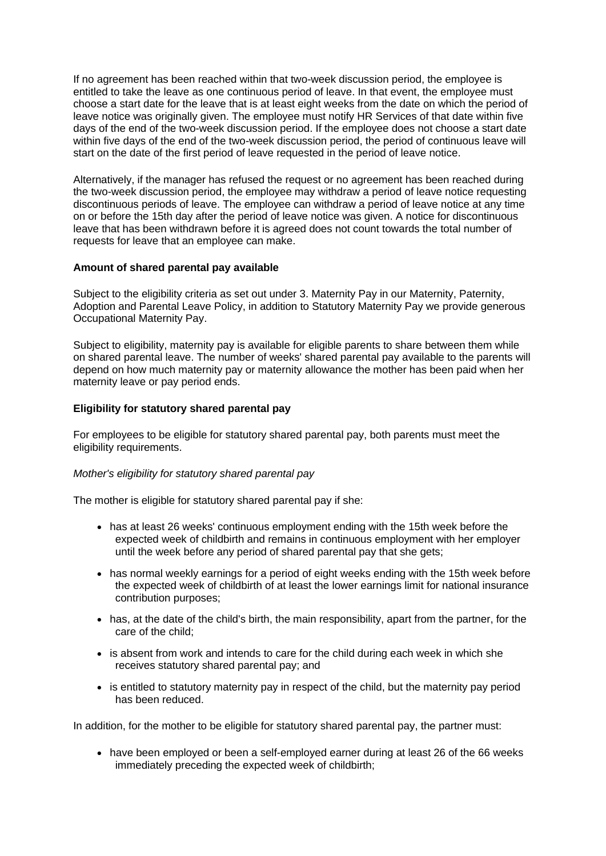If no agreement has been reached within that two-week discussion period, the employee is entitled to take the leave as one continuous period of leave. In that event, the employee must choose a start date for the leave that is at least eight weeks from the date on which the period of leave notice was originally given. The employee must notify HR Services of that date within five days of the end of the two-week discussion period. If the employee does not choose a start date within five days of the end of the two-week discussion period, the period of continuous leave will start on the date of the first period of leave requested in the period of leave notice.

Alternatively, if the manager has refused the request or no agreement has been reached during the two-week discussion period, the employee may withdraw a period of leave notice requesting discontinuous periods of leave. The employee can withdraw a period of leave notice at any time on or before the 15th day after the period of leave notice was given. A notice for discontinuous leave that has been withdrawn before it is agreed does not count towards the total number of requests for leave that an employee can make.

## **Amount of shared parental pay available**

Subject to the eligibility criteria as set out under 3. Maternity Pay in our Maternity, Paternity, Adoption and Parental Leave Policy, in addition to Statutory Maternity Pay we provide generous Occupational Maternity Pay.

Subject to eligibility, maternity pay is available for eligible parents to share between them while on shared parental leave. The number of weeks' shared parental pay available to the parents will depend on how much maternity pay or maternity allowance the mother has been paid when her maternity leave or pay period ends.

## **Eligibility for statutory shared parental pay**

For employees to be eligible for statutory shared parental pay, both parents must meet the eligibility requirements.

## *Mother's eligibility for statutory shared parental pay*

The mother is eligible for statutory shared parental pay if she:

- has at least 26 weeks' continuous employment ending with the 15th week before the expected week of childbirth and remains in continuous employment with her employer until the week before any period of shared parental pay that she gets;
- has normal weekly earnings for a period of eight weeks ending with the 15th week before the expected week of childbirth of at least the lower earnings limit for national insurance contribution purposes;
- has, at the date of the child's birth, the main responsibility, apart from the partner, for the care of the child;
- is absent from work and intends to care for the child during each week in which she receives statutory shared parental pay; and
- is entitled to statutory maternity pay in respect of the child, but the maternity pay period has been reduced.

In addition, for the mother to be eligible for statutory shared parental pay, the partner must:

• have been employed or been a self-employed earner during at least 26 of the 66 weeks immediately preceding the expected week of childbirth;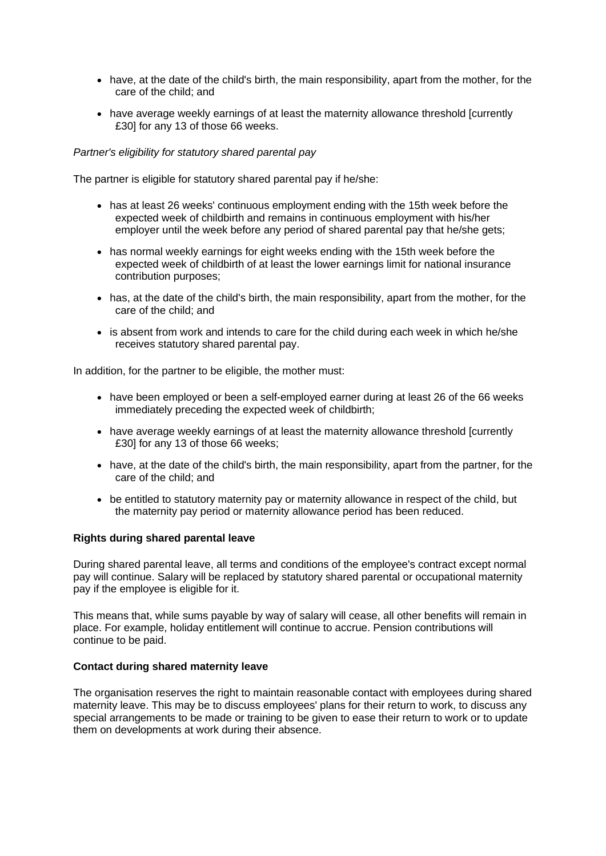- have, at the date of the child's birth, the main responsibility, apart from the mother, for the care of the child; and
- have average weekly earnings of at least the maternity allowance threshold [currently £30] for any 13 of those 66 weeks.

## *Partner's eligibility for statutory shared parental pay*

The partner is eligible for statutory shared parental pay if he/she:

- has at least 26 weeks' continuous employment ending with the 15th week before the expected week of childbirth and remains in continuous employment with his/her employer until the week before any period of shared parental pay that he/she gets;
- has normal weekly earnings for eight weeks ending with the 15th week before the expected week of childbirth of at least the lower earnings limit for national insurance contribution purposes;
- has, at the date of the child's birth, the main responsibility, apart from the mother, for the care of the child; and
- is absent from work and intends to care for the child during each week in which he/she receives statutory shared parental pay.

In addition, for the partner to be eligible, the mother must:

- have been employed or been a self-employed earner during at least 26 of the 66 weeks immediately preceding the expected week of childbirth;
- have average weekly earnings of at least the maternity allowance threshold [currently £30] for any 13 of those 66 weeks;
- have, at the date of the child's birth, the main responsibility, apart from the partner, for the care of the child; and
- be entitled to statutory maternity pay or maternity allowance in respect of the child, but the maternity pay period or maternity allowance period has been reduced.

## **Rights during shared parental leave**

During shared parental leave, all terms and conditions of the employee's contract except normal pay will continue. Salary will be replaced by statutory shared parental or occupational maternity pay if the employee is eligible for it.

This means that, while sums payable by way of salary will cease, all other benefits will remain in place. For example, holiday entitlement will continue to accrue. Pension contributions will continue to be paid.

## **Contact during shared maternity leave**

The organisation reserves the right to maintain reasonable contact with employees during shared maternity leave. This may be to discuss employees' plans for their return to work, to discuss any special arrangements to be made or training to be given to ease their return to work or to update them on developments at work during their absence.